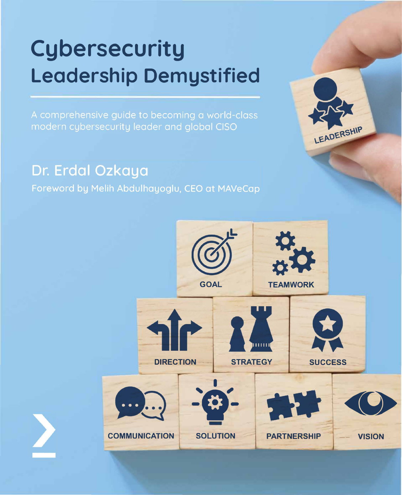## **Cybersecurity Leadership Demystified**

A comprehensive guide to becoming a world-class modern cybersecurity leader and global CISO

## Dr. Erdal Ozkaya

Foreword by Melih Abdulhayoglu, CEO at MAVeCap



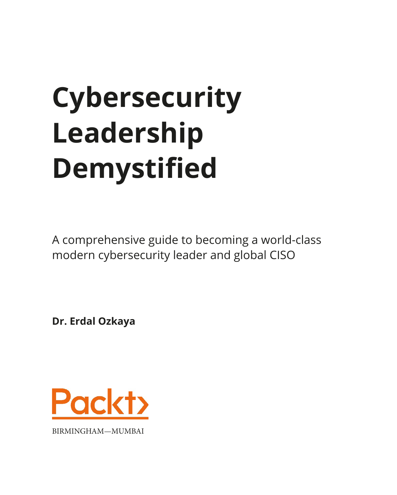# **Cybersecurity Leadership Demystified**

A comprehensive guide to becoming a world-class modern cybersecurity leader and global CISO

**Dr. Erdal Ozkaya**

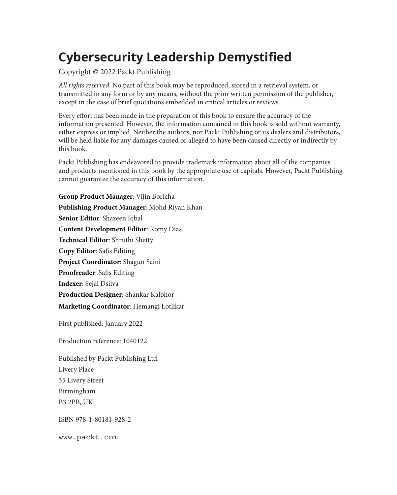## **Cybersecurity Leadership Demystified**

#### Copyright © 2022 Packt Publishing

*All rights reserved*. No part of this book may be reproduced, stored in a retrieval system, or transmitted in any form or by any means, without the prior written permission of the publisher, except in the case of brief quotations embedded in critical articles or reviews.

Every effort has been made in the preparation of this book to ensure the accuracy of the information presented. However, the information contained in this book is sold without warranty, either express or implied. Neither the authors, nor Packt Publishing or its dealers and distributors, will be held liable for any damages caused or alleged to have been caused directly or indirectly by this book.

Packt Publishing has endeavored to provide trademark information about all of the companies and products mentioned in this book by the appropriate use of capitals. However, Packt Publishing cannot guarantee the accuracy of this information.

**Group Product Manager**: Vijin Boricha **Publishing Product Manager**: Mohd Riyan Khan **Senior Editor**: Shazeen Iqbal **Content Development Editor**: Romy Dias **Technical Editor**: Shruthi Shetty **Copy Editor**: Safis Editing **Project Coordinator**: Shagun Saini **Proofreader**: Safis Editing **Indexer**: Sejal Dsilva **Production Designer**: Shankar Kalbhor **Marketing Coordinator**: Hemangi Lotlikar First published: January 2022 Production reference: 1040122 Published by Packt Publishing Ltd. Livery Place

35 Livery Street Birmingham

B3 2PB, UK.

ISBN 978-1-80181-928-2

[www.packt.com](http://www.packt.com)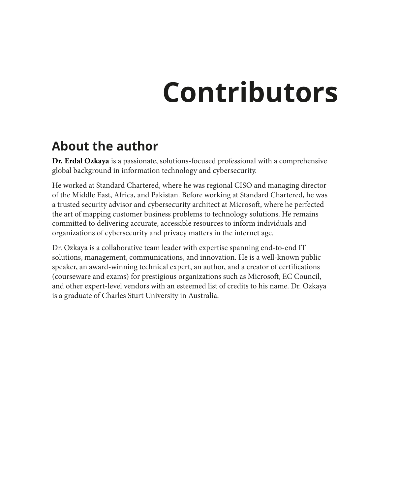## **Contributors**

## **About the author**

**Dr. Erdal Ozkaya** is a passionate, solutions-focused professional with a comprehensive global background in information technology and cybersecurity.

He worked at Standard Chartered, where he was regional CISO and managing director of the Middle East, Africa, and Pakistan. Before working at Standard Chartered, he was a trusted security advisor and cybersecurity architect at Microsoft, where he perfected the art of mapping customer business problems to technology solutions. He remains committed to delivering accurate, accessible resources to inform individuals and organizations of cybersecurity and privacy matters in the internet age.

Dr. Ozkaya is a collaborative team leader with expertise spanning end-to-end IT solutions, management, communications, and innovation. He is a well-known public speaker, an award-winning technical expert, an author, and a creator of certifications (courseware and exams) for prestigious organizations such as Microsoft, EC Council, and other expert-level vendors with an esteemed list of credits to his name. Dr. Ozkaya is a graduate of Charles Sturt University in Australia.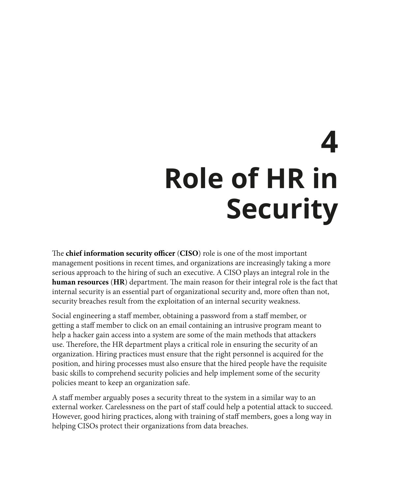## **4 Role of HR in Security**

The **chief information security officer** (**CISO**) role is one of the most important management positions in recent times, and organizations are increasingly taking a more serious approach to the hiring of such an executive. A CISO plays an integral role in the **human resources** (**HR**) department. The main reason for their integral role is the fact that internal security is an essential part of organizational security and, more often than not, security breaches result from the exploitation of an internal security weakness.

Social engineering a staff member, obtaining a password from a staff member, or getting a staff member to click on an email containing an intrusive program meant to help a hacker gain access into a system are some of the main methods that attackers use. Therefore, the HR department plays a critical role in ensuring the security of an organization. Hiring practices must ensure that the right personnel is acquired for the position, and hiring processes must also ensure that the hired people have the requisite basic skills to comprehend security policies and help implement some of the security policies meant to keep an organization safe.

A staff member arguably poses a security threat to the system in a similar way to an external worker. Carelessness on the part of staff could help a potential attack to succeed. However, good hiring practices, along with training of staff members, goes a long way in helping CISOs protect their organizations from data breaches.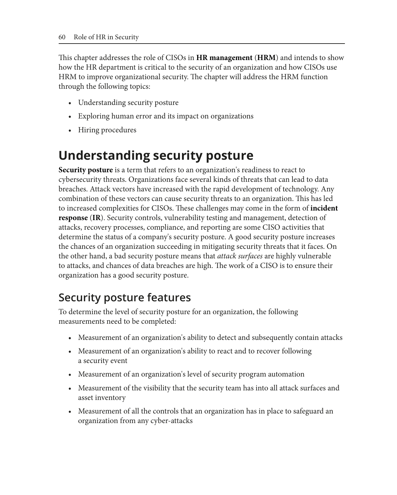This chapter addresses the role of CISOs in **HR management** (**HRM**) and intends to show how the HR department is critical to the security of an organization and how CISOs use HRM to improve organizational security. The chapter will address the HRM function through the following topics:

- Understanding security posture
- Exploring human error and its impact on organizations
- Hiring procedures

## **Understanding security posture**

**Security posture** is a term that refers to an organization's readiness to react to cybersecurity threats. Organizations face several kinds of threats that can lead to data breaches. Attack vectors have increased with the rapid development of technology. Any combination of these vectors can cause security threats to an organization. This has led to increased complexities for CISOs. These challenges may come in the form of **incident response** (**IR**). Security controls, vulnerability testing and management, detection of attacks, recovery processes, compliance, and reporting are some CISO activities that determine the status of a company's security posture. A good security posture increases the chances of an organization succeeding in mitigating security threats that it faces. On the other hand, a bad security posture means that *attack surfaces* are highly vulnerable to attacks, and chances of data breaches are high. The work of a CISO is to ensure their organization has a good security posture.

## **Security posture features**

To determine the level of security posture for an organization, the following measurements need to be completed:

- Measurement of an organization's ability to detect and subsequently contain attacks
- Measurement of an organization's ability to react and to recover following a security event
- Measurement of an organization's level of security program automation
- Measurement of the visibility that the security team has into all attack surfaces and asset inventory
- Measurement of all the controls that an organization has in place to safeguard an organization from any cyber-attacks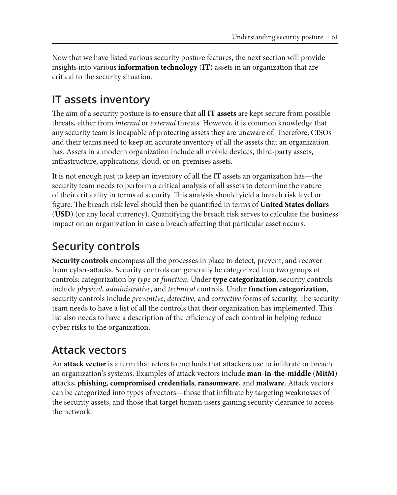Now that we have listed various security posture features, the next section will provide insights into various **information technology** (**IT**) assets in an organization that are critical to the security situation.

## **IT assets inventory**

The aim of a security posture is to ensure that all **IT assets** are kept secure from possible threats, either from *internal* or *external* threats. However, it is common knowledge that any security team is incapable of protecting assets they are unaware of. Therefore, CISOs and their teams need to keep an accurate inventory of all the assets that an organization has. Assets in a modern organization include all mobile devices, third-party assets, infrastructure, applications, cloud, or on-premises assets.

It is not enough just to keep an inventory of all the IT assets an organization has—the security team needs to perform a critical analysis of all assets to determine the nature of their criticality in terms of security. This analysis should yield a breach risk level or figure. The breach risk level should then be quantified in terms of **United States dollars** (**USD**) (or any local currency). Quantifying the breach risk serves to calculate the business impact on an organization in case a breach affecting that particular asset occurs.

## **Security controls**

**Security controls** encompass all the processes in place to detect, prevent, and recover from cyber-attacks. Security controls can generally be categorized into two groups of controls: categorization by *type* or *function*. Under **type categorization**, security controls include *physical*, *administrative*, and *technical* controls. Under **function categorization**, security controls include *preventive*, *detective*, and *corrective* forms of security. The security team needs to have a list of all the controls that their organization has implemented. This list also needs to have a description of the efficiency of each control in helping reduce cyber risks to the organization.

## **Attack vectors**

An **attack vector** is a term that refers to methods that attackers use to infiltrate or breach an organization's systems. Examples of attack vectors include **man-in-the-middle** (**MitM**) attacks, **phishing**, **compromised credentials**, **ransomware**, and **malware**. Attack vectors can be categorized into types of vectors—those that infiltrate by targeting weaknesses of the security assets, and those that target human users gaining security clearance to access the network.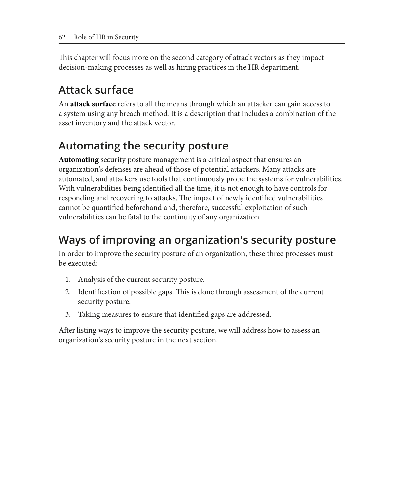This chapter will focus more on the second category of attack vectors as they impact decision-making processes as well as hiring practices in the HR department.

## **Attack surface**

An **attack surface** refers to all the means through which an attacker can gain access to a system using any breach method. It is a description that includes a combination of the asset inventory and the attack vector.

## **Automating the security posture**

**Automating** security posture management is a critical aspect that ensures an organization's defenses are ahead of those of potential attackers. Many attacks are automated, and attackers use tools that continuously probe the systems for vulnerabilities. With vulnerabilities being identified all the time, it is not enough to have controls for responding and recovering to attacks. The impact of newly identified vulnerabilities cannot be quantified beforehand and, therefore, successful exploitation of such vulnerabilities can be fatal to the continuity of any organization.

## **Ways of improving an organization's security posture**

In order to improve the security posture of an organization, these three processes must be executed:

- 1. Analysis of the current security posture.
- 2. Identification of possible gaps. This is done through assessment of the current security posture.
- 3. Taking measures to ensure that identified gaps are addressed.

After listing ways to improve the security posture, we will address how to assess an organization's security posture in the next section.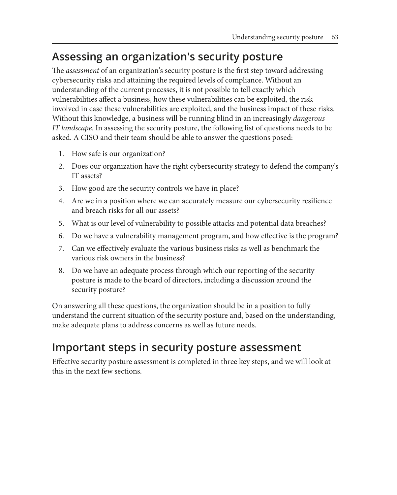### **Assessing an organization's security posture**

The *assessment* of an organization's security posture is the first step toward addressing cybersecurity risks and attaining the required levels of compliance. Without an understanding of the current processes, it is not possible to tell exactly which vulnerabilities affect a business, how these vulnerabilities can be exploited, the risk involved in case these vulnerabilities are exploited, and the business impact of these risks. Without this knowledge, a business will be running blind in an increasingly *dangerous IT landscape*. In assessing the security posture, the following list of questions needs to be asked. A CISO and their team should be able to answer the questions posed:

- 1. How safe is our organization?
- 2. Does our organization have the right cybersecurity strategy to defend the company's IT assets?
- 3. How good are the security controls we have in place?
- 4. Are we in a position where we can accurately measure our cybersecurity resilience and breach risks for all our assets?
- 5. What is our level of vulnerability to possible attacks and potential data breaches?
- 6. Do we have a vulnerability management program, and how effective is the program?
- 7. Can we effectively evaluate the various business risks as well as benchmark the various risk owners in the business?
- 8. Do we have an adequate process through which our reporting of the security posture is made to the board of directors, including a discussion around the security posture?

On answering all these questions, the organization should be in a position to fully understand the current situation of the security posture and, based on the understanding, make adequate plans to address concerns as well as future needs.

#### **Important steps in security posture assessment**

Effective security posture assessment is completed in three key steps, and we will look at this in the next few sections.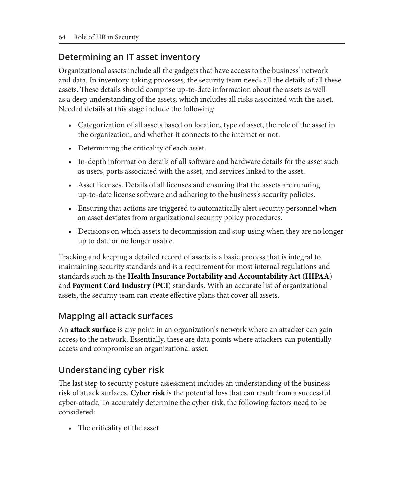#### **Determining an IT asset inventory**

Organizational assets include all the gadgets that have access to the business' network and data. In inventory-taking processes, the security team needs all the details of all these assets. These details should comprise up-to-date information about the assets as well as a deep understanding of the assets, which includes all risks associated with the asset. Needed details at this stage include the following:

- Categorization of all assets based on location, type of asset, the role of the asset in the organization, and whether it connects to the internet or not.
- Determining the criticality of each asset.
- In-depth information details of all software and hardware details for the asset such as users, ports associated with the asset, and services linked to the asset.
- Asset licenses. Details of all licenses and ensuring that the assets are running up-to-date license software and adhering to the business's security policies.
- Ensuring that actions are triggered to automatically alert security personnel when an asset deviates from organizational security policy procedures.
- Decisions on which assets to decommission and stop using when they are no longer up to date or no longer usable.

Tracking and keeping a detailed record of assets is a basic process that is integral to maintaining security standards and is a requirement for most internal regulations and standards such as the **Health Insurance Portability and Accountability Act** (**HIPAA**) and **Payment Card Industry** (**PCI**) standards. With an accurate list of organizational assets, the security team can create effective plans that cover all assets.

#### **Mapping all attack surfaces**

An **attack surface** is any point in an organization's network where an attacker can gain access to the network. Essentially, these are data points where attackers can potentially access and compromise an organizational asset.

#### **Understanding cyber risk**

The last step to security posture assessment includes an understanding of the business risk of attack surfaces. **Cyber risk** is the potential loss that can result from a successful cyber-attack. To accurately determine the cyber risk, the following factors need to be considered:

• The criticality of the asset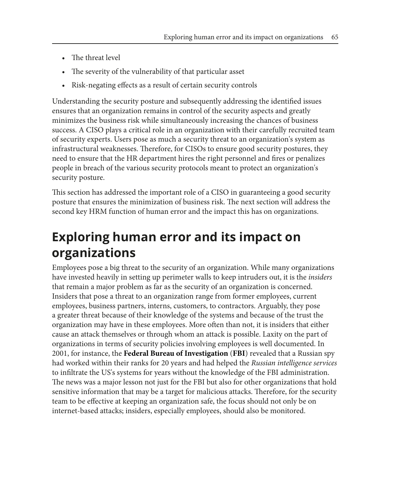- The threat level
- The severity of the vulnerability of that particular asset
- Risk-negating effects as a result of certain security controls

Understanding the security posture and subsequently addressing the identified issues ensures that an organization remains in control of the security aspects and greatly minimizes the business risk while simultaneously increasing the chances of business success. A CISO plays a critical role in an organization with their carefully recruited team of security experts. Users pose as much a security threat to an organization's system as infrastructural weaknesses. Therefore, for CISOs to ensure good security postures, they need to ensure that the HR department hires the right personnel and fires or penalizes people in breach of the various security protocols meant to protect an organization's security posture.

This section has addressed the important role of a CISO in guaranteeing a good security posture that ensures the minimization of business risk. The next section will address the second key HRM function of human error and the impact this has on organizations.

## **Exploring human error and its impact on organizations**

Employees pose a big threat to the security of an organization. While many organizations have invested heavily in setting up perimeter walls to keep intruders out, it is the *insiders* that remain a major problem as far as the security of an organization is concerned. Insiders that pose a threat to an organization range from former employees, current employees, business partners, interns, customers, to contractors. Arguably, they pose a greater threat because of their knowledge of the systems and because of the trust the organization may have in these employees. More often than not, it is insiders that either cause an attack themselves or through whom an attack is possible. Laxity on the part of organizations in terms of security policies involving employees is well documented. In 2001, for instance, the **Federal Bureau of Investigation** (**FBI**) revealed that a Russian spy had worked within their ranks for 20 years and had helped the *Russian intelligence services* to infiltrate the US's systems for years without the knowledge of the FBI administration. The news was a major lesson not just for the FBI but also for other organizations that hold sensitive information that may be a target for malicious attacks. Therefore, for the security team to be effective at keeping an organization safe, the focus should not only be on internet-based attacks; insiders, especially employees, should also be monitored.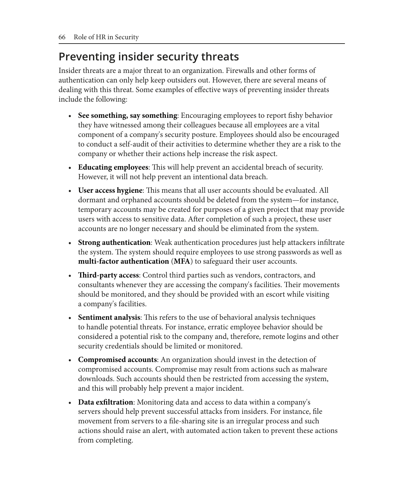## **Preventing insider security threats**

Insider threats are a major threat to an organization. Firewalls and other forms of authentication can only help keep outsiders out. However, there are several means of dealing with this threat. Some examples of effective ways of preventing insider threats include the following:

- **See something, say something**: Encouraging employees to report fishy behavior they have witnessed among their colleagues because all employees are a vital component of a company's security posture. Employees should also be encouraged to conduct a self-audit of their activities to determine whether they are a risk to the company or whether their actions help increase the risk aspect.
- **Educating employees**: This will help prevent an accidental breach of security. However, it will not help prevent an intentional data breach.
- **User access hygiene**: This means that all user accounts should be evaluated. All dormant and orphaned accounts should be deleted from the system—for instance, temporary accounts may be created for purposes of a given project that may provide users with access to sensitive data. After completion of such a project, these user accounts are no longer necessary and should be eliminated from the system.
- **Strong authentication**: Weak authentication procedures just help attackers infiltrate the system. The system should require employees to use strong passwords as well as **multi-factor authentication** (**MFA**) to safeguard their user accounts.
- **Third-party access**: Control third parties such as vendors, contractors, and consultants whenever they are accessing the company's facilities. Their movements should be monitored, and they should be provided with an escort while visiting a company's facilities.
- **Sentiment analysis**: This refers to the use of behavioral analysis techniques to handle potential threats. For instance, erratic employee behavior should be considered a potential risk to the company and, therefore, remote logins and other security credentials should be limited or monitored.
- **Compromised accounts**: An organization should invest in the detection of compromised accounts. Compromise may result from actions such as malware downloads. Such accounts should then be restricted from accessing the system, and this will probably help prevent a major incident.
- **Data exfiltration**: Monitoring data and access to data within a company's servers should help prevent successful attacks from insiders. For instance, file movement from servers to a file-sharing site is an irregular process and such actions should raise an alert, with automated action taken to prevent these actions from completing.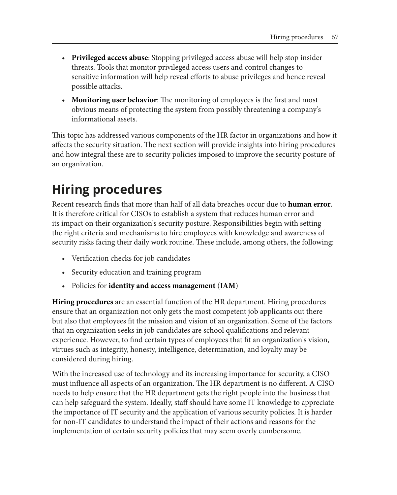- **Privileged access abuse**: Stopping privileged access abuse will help stop insider threats. Tools that monitor privileged access users and control changes to sensitive information will help reveal efforts to abuse privileges and hence reveal possible attacks.
- **Monitoring user behavior**: The monitoring of employees is the first and most obvious means of protecting the system from possibly threatening a company's informational assets.

This topic has addressed various components of the HR factor in organizations and how it affects the security situation. The next section will provide insights into hiring procedures and how integral these are to security policies imposed to improve the security posture of an organization.

## **Hiring procedures**

Recent research finds that more than half of all data breaches occur due to **human error**. It is therefore critical for CISOs to establish a system that reduces human error and its impact on their organization's security posture. Responsibilities begin with setting the right criteria and mechanisms to hire employees with knowledge and awareness of security risks facing their daily work routine. These include, among others, the following:

- Verification checks for job candidates
- Security education and training program
- Policies for **identity and access management** (**IAM**)

**Hiring procedures** are an essential function of the HR department. Hiring procedures ensure that an organization not only gets the most competent job applicants out there but also that employees fit the mission and vision of an organization. Some of the factors that an organization seeks in job candidates are school qualifications and relevant experience. However, to find certain types of employees that fit an organization's vision, virtues such as integrity, honesty, intelligence, determination, and loyalty may be considered during hiring.

With the increased use of technology and its increasing importance for security, a CISO must influence all aspects of an organization. The HR department is no different. A CISO needs to help ensure that the HR department gets the right people into the business that can help safeguard the system. Ideally, staff should have some IT knowledge to appreciate the importance of IT security and the application of various security policies. It is harder for non-IT candidates to understand the impact of their actions and reasons for the implementation of certain security policies that may seem overly cumbersome.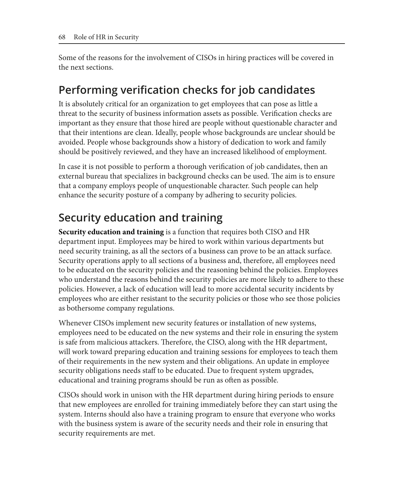Some of the reasons for the involvement of CISOs in hiring practices will be covered in the next sections.

#### **Performing verification checks for job candidates**

It is absolutely critical for an organization to get employees that can pose as little a threat to the security of business information assets as possible. Verification checks are important as they ensure that those hired are people without questionable character and that their intentions are clean. Ideally, people whose backgrounds are unclear should be avoided. People whose backgrounds show a history of dedication to work and family should be positively reviewed, and they have an increased likelihood of employment.

In case it is not possible to perform a thorough verification of job candidates, then an external bureau that specializes in background checks can be used. The aim is to ensure that a company employs people of unquestionable character. Such people can help enhance the security posture of a company by adhering to security policies.

## **Security education and training**

**Security education and training** is a function that requires both CISO and HR department input. Employees may be hired to work within various departments but need security training, as all the sectors of a business can prove to be an attack surface. Security operations apply to all sections of a business and, therefore, all employees need to be educated on the security policies and the reasoning behind the policies. Employees who understand the reasons behind the security policies are more likely to adhere to these policies. However, a lack of education will lead to more accidental security incidents by employees who are either resistant to the security policies or those who see those policies as bothersome company regulations.

Whenever CISOs implement new security features or installation of new systems, employees need to be educated on the new systems and their role in ensuring the system is safe from malicious attackers. Therefore, the CISO, along with the HR department, will work toward preparing education and training sessions for employees to teach them of their requirements in the new system and their obligations. An update in employee security obligations needs staff to be educated. Due to frequent system upgrades, educational and training programs should be run as often as possible.

CISOs should work in unison with the HR department during hiring periods to ensure that new employees are enrolled for training immediately before they can start using the system. Interns should also have a training program to ensure that everyone who works with the business system is aware of the security needs and their role in ensuring that security requirements are met.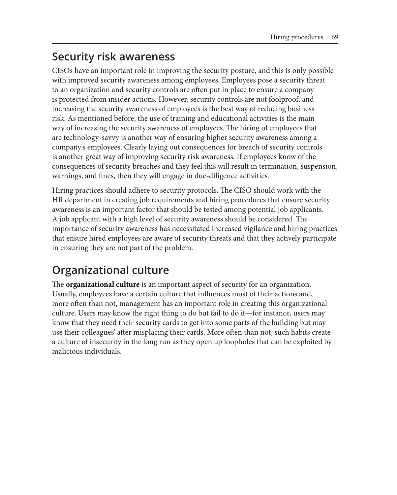#### **Security risk awareness**

CISOs have an important role in improving the security posture, and this is only possible with improved security awareness among employees. Employees pose a security threat to an organization and security controls are often put in place to ensure a company is protected from insider actions. However, security controls are not foolproof, and increasing the security awareness of employees is the best way of reducing business risk. As mentioned before, the use of training and educational activities is the main way of increasing the security awareness of employees. The hiring of employees that are technology-savvy is another way of ensuring higher security awareness among a company's employees. Clearly laying out consequences for breach of security controls is another great way of improving security risk awareness. If employees know of the consequences of security breaches and they feel this will result in termination, suspension, warnings, and fines, then they will engage in due-diligence activities.

Hiring practices should adhere to security protocols. The CISO should work with the HR department in creating job requirements and hiring procedures that ensure security awareness is an important factor that should be tested among potential job applicants. A job applicant with a high level of security awareness should be considered. The importance of security awareness has necessitated increased vigilance and hiring practices that ensure hired employees are aware of security threats and that they actively participate in ensuring they are not part of the problem.

## **Organizational culture**

The **organizational culture** is an important aspect of security for an organization. Usually, employees have a certain culture that influences most of their actions and, more often than not, management has an important role in creating this organizational culture. Users may know the right thing to do but fail to do it—for instance, users may know that they need their security cards to get into some parts of the building but may use their colleagues' after misplacing their cards. More often than not, such habits create a culture of insecurity in the long run as they open up loopholes that can be exploited by malicious individuals.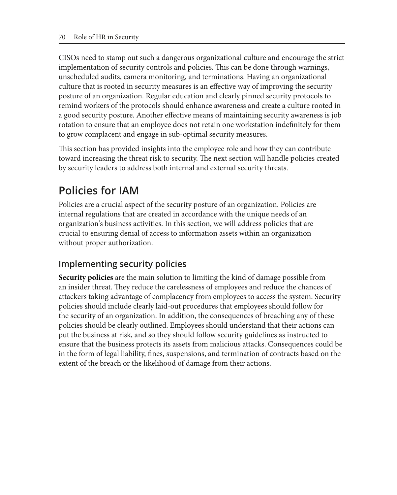CISOs need to stamp out such a dangerous organizational culture and encourage the strict implementation of security controls and policies. This can be done through warnings, unscheduled audits, camera monitoring, and terminations. Having an organizational culture that is rooted in security measures is an effective way of improving the security posture of an organization. Regular education and clearly pinned security protocols to remind workers of the protocols should enhance awareness and create a culture rooted in a good security posture. Another effective means of maintaining security awareness is job rotation to ensure that an employee does not retain one workstation indefinitely for them to grow complacent and engage in sub-optimal security measures.

This section has provided insights into the employee role and how they can contribute toward increasing the threat risk to security. The next section will handle policies created by security leaders to address both internal and external security threats.

## **Policies for IAM**

Policies are a crucial aspect of the security posture of an organization. Policies are internal regulations that are created in accordance with the unique needs of an organization's business activities. In this section, we will address policies that are crucial to ensuring denial of access to information assets within an organization without proper authorization.

#### **Implementing security policies**

**Security policies** are the main solution to limiting the kind of damage possible from an insider threat. They reduce the carelessness of employees and reduce the chances of attackers taking advantage of complacency from employees to access the system. Security policies should include clearly laid-out procedures that employees should follow for the security of an organization. In addition, the consequences of breaching any of these policies should be clearly outlined. Employees should understand that their actions can put the business at risk, and so they should follow security guidelines as instructed to ensure that the business protects its assets from malicious attacks. Consequences could be in the form of legal liability, fines, suspensions, and termination of contracts based on the extent of the breach or the likelihood of damage from their actions.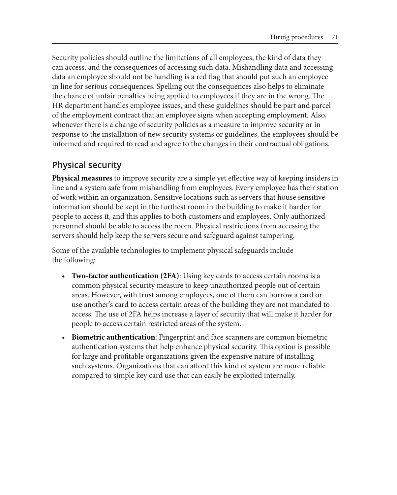Security policies should outline the limitations of all employees, the kind of data they can access, and the consequences of accessing such data. Mishandling data and accessing data an employee should not be handling is a red flag that should put such an employee in line for serious consequences. Spelling out the consequences also helps to eliminate the chance of unfair penalties being applied to employees if they are in the wrong. The HR department handles employee issues, and these guidelines should be part and parcel of the employment contract that an employee signs when accepting employment. Also, whenever there is a change of security policies as a measure to improve security or in response to the installation of new security systems or guidelines, the employees should be informed and required to read and agree to the changes in their contractual obligations.

#### **Physical security**

**Physical measures** to improve security are a simple yet effective way of keeping insiders in line and a system safe from mishandling from employees. Every employee has their station of work within an organization. Sensitive locations such as servers that house sensitive information should be kept in the furthest room in the building to make it harder for people to access it, and this applies to both customers and employees. Only authorized personnel should be able to access the room. Physical restrictions from accessing the servers should help keep the servers secure and safeguard against tampering.

Some of the available technologies to implement physical safeguards include the following:

- **Two-factor authentication (2FA)**: Using key cards to access certain rooms is a common physical security measure to keep unauthorized people out of certain areas. However, with trust among employees, one of them can borrow a card or use another's card to access certain areas of the building they are not mandated to access. The use of 2FA helps increase a layer of security that will make it harder for people to access certain restricted areas of the system.
- **Biometric authentication**: Fingerprint and face scanners are common biometric authentication systems that help enhance physical security. This option is possible for large and profitable organizations given the expensive nature of installing such systems. Organizations that can afford this kind of system are more reliable compared to simple key card use that can easily be exploited internally.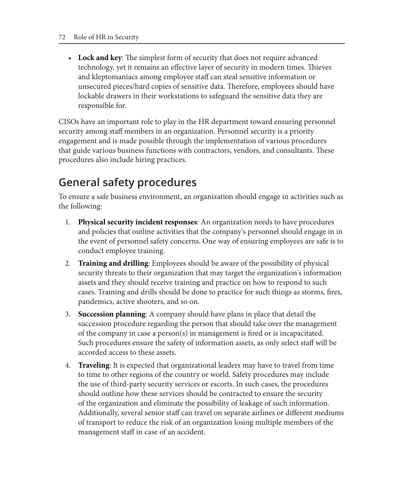• **Lock and key**: The simplest form of security that does not require advanced technology, yet it remains an effective layer of security in modern times. Thieves and kleptomaniacs among employee staff can steal sensitive information or unsecured pieces/hard copies of sensitive data. Therefore, employees should have lockable drawers in their workstations to safeguard the sensitive data they are responsible for.

CISOs have an important role to play in the HR department toward ensuring personnel security among staff members in an organization. Personnel security is a priority engagement and is made possible through the implementation of various procedures that guide various business functions with contractors, vendors, and consultants. These procedures also include hiring practices.

## **General safety procedures**

To ensure a safe business environment, an organization should engage in activities such as the following:

- 1. **Physical security incident responses**: An organization needs to have procedures and policies that outline activities that the company's personnel should engage in in the event of personnel safety concerns. One way of ensuring employees are safe is to conduct employee training.
- 2. **Training and drilling**: Employees should be aware of the possibility of physical security threats to their organization that may target the organization's information assets and they should receive training and practice on how to respond to such cases. Training and drills should be done to practice for such things as storms, fires, pandemics, active shooters, and so on.
- 3. **Succession planning**: A company should have plans in place that detail the succession procedure regarding the person that should take over the management of the company in case a person(s) in management is fired or is incapacitated. Such procedures ensure the safety of information assets, as only select staff will be accorded access to these assets.
- 4. **Traveling**: It is expected that organizational leaders may have to travel from time to time to other regions of the country or world. Safety procedures may include the use of third-party security services or escorts. In such cases, the procedures should outline how these services should be contracted to ensure the security of the organization and eliminate the possibility of leakage of such information. Additionally, several senior staff can travel on separate airlines or different mediums of transport to reduce the risk of an organization losing multiple members of the management staff in case of an accident.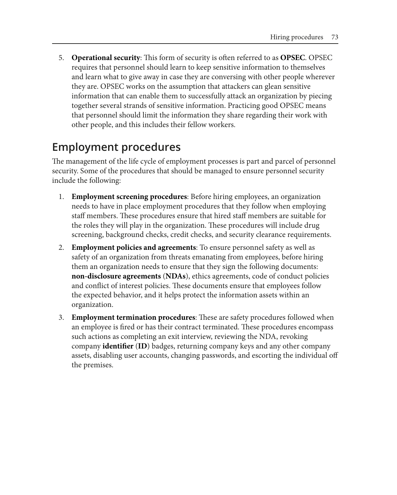5. **Operational security**: This form of security is often referred to as **OPSEC**. OPSEC requires that personnel should learn to keep sensitive information to themselves and learn what to give away in case they are conversing with other people wherever they are. OPSEC works on the assumption that attackers can glean sensitive information that can enable them to successfully attack an organization by piecing together several strands of sensitive information. Practicing good OPSEC means that personnel should limit the information they share regarding their work with other people, and this includes their fellow workers.

### **Employment procedures**

The management of the life cycle of employment processes is part and parcel of personnel security. Some of the procedures that should be managed to ensure personnel security include the following:

- 1. **Employment screening procedures**: Before hiring employees, an organization needs to have in place employment procedures that they follow when employing staff members. These procedures ensure that hired staff members are suitable for the roles they will play in the organization. These procedures will include drug screening, background checks, credit checks, and security clearance requirements.
- 2. **Employment policies and agreements**: To ensure personnel safety as well as safety of an organization from threats emanating from employees, before hiring them an organization needs to ensure that they sign the following documents: **non-disclosure agreements** (**NDAs**), ethics agreements, code of conduct policies and conflict of interest policies. These documents ensure that employees follow the expected behavior, and it helps protect the information assets within an organization.
- 3. **Employment termination procedures**: These are safety procedures followed when an employee is fired or has their contract terminated. These procedures encompass such actions as completing an exit interview, reviewing the NDA, revoking company **identifier** (**ID**) badges, returning company keys and any other company assets, disabling user accounts, changing passwords, and escorting the individual off the premises.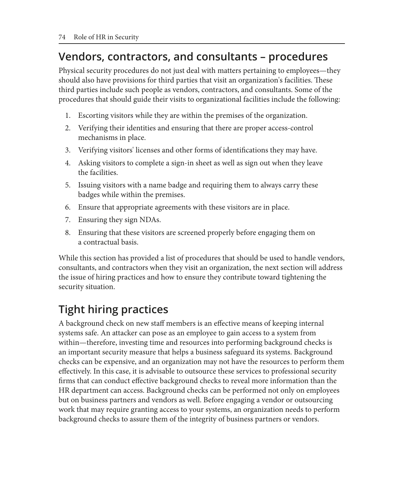### **Vendors, contractors, and consultants – procedures**

Physical security procedures do not just deal with matters pertaining to employees—they should also have provisions for third parties that visit an organization's facilities. These third parties include such people as vendors, contractors, and consultants. Some of the procedures that should guide their visits to organizational facilities include the following:

- 1. Escorting visitors while they are within the premises of the organization.
- 2. Verifying their identities and ensuring that there are proper access-control mechanisms in place.
- 3. Verifying visitors' licenses and other forms of identifications they may have.
- 4. Asking visitors to complete a sign-in sheet as well as sign out when they leave the facilities.
- 5. Issuing visitors with a name badge and requiring them to always carry these badges while within the premises.
- 6. Ensure that appropriate agreements with these visitors are in place.
- 7. Ensuring they sign NDAs.
- 8. Ensuring that these visitors are screened properly before engaging them on a contractual basis.

While this section has provided a list of procedures that should be used to handle vendors, consultants, and contractors when they visit an organization, the next section will address the issue of hiring practices and how to ensure they contribute toward tightening the security situation.

## **Tight hiring practices**

A background check on new staff members is an effective means of keeping internal systems safe. An attacker can pose as an employee to gain access to a system from within—therefore, investing time and resources into performing background checks is an important security measure that helps a business safeguard its systems. Background checks can be expensive, and an organization may not have the resources to perform them effectively. In this case, it is advisable to outsource these services to professional security firms that can conduct effective background checks to reveal more information than the HR department can access. Background checks can be performed not only on employees but on business partners and vendors as well. Before engaging a vendor or outsourcing work that may require granting access to your systems, an organization needs to perform background checks to assure them of the integrity of business partners or vendors.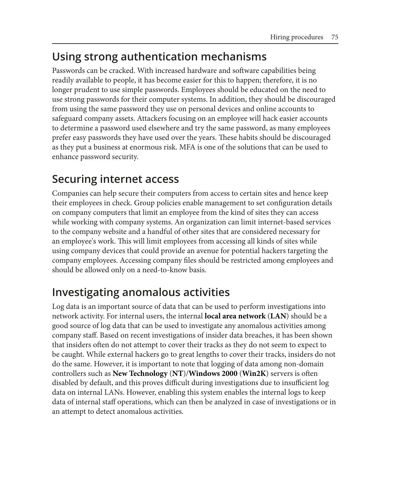## **Using strong authentication mechanisms**

Passwords can be cracked. With increased hardware and software capabilities being readily available to people, it has become easier for this to happen; therefore, it is no longer prudent to use simple passwords. Employees should be educated on the need to use strong passwords for their computer systems. In addition, they should be discouraged from using the same password they use on personal devices and online accounts to safeguard company assets. Attackers focusing on an employee will hack easier accounts to determine a password used elsewhere and try the same password, as many employees prefer easy passwords they have used over the years. These habits should be discouraged as they put a business at enormous risk. MFA is one of the solutions that can be used to enhance password security.

## **Securing internet access**

Companies can help secure their computers from access to certain sites and hence keep their employees in check. Group policies enable management to set configuration details on company computers that limit an employee from the kind of sites they can access while working with company systems. An organization can limit internet-based services to the company website and a handful of other sites that are considered necessary for an employee's work. This will limit employees from accessing all kinds of sites while using company devices that could provide an avenue for potential hackers targeting the company employees. Accessing company files should be restricted among employees and should be allowed only on a need-to-know basis.

## **Investigating anomalous activities**

Log data is an important source of data that can be used to perform investigations into network activity. For internal users, the internal **local area network** (**LAN**) should be a good source of log data that can be used to investigate any anomalous activities among company staff. Based on recent investigations of insider data breaches, it has been shown that insiders often do not attempt to cover their tracks as they do not seem to expect to be caught. While external hackers go to great lengths to cover their tracks, insiders do not do the same. However, it is important to note that logging of data among non-domain controllers such as **New Technology** (**NT**)/**Windows 2000** (**Win2K**) servers is often disabled by default, and this proves difficult during investigations due to insufficient log data on internal LANs. However, enabling this system enables the internal logs to keep data of internal staff operations, which can then be analyzed in case of investigations or in an attempt to detect anomalous activities.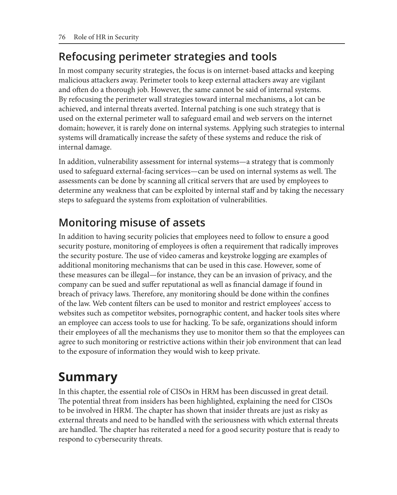## **Refocusing perimeter strategies and tools**

In most company security strategies, the focus is on internet-based attacks and keeping malicious attackers away. Perimeter tools to keep external attackers away are vigilant and often do a thorough job. However, the same cannot be said of internal systems. By refocusing the perimeter wall strategies toward internal mechanisms, a lot can be achieved, and internal threats averted. Internal patching is one such strategy that is used on the external perimeter wall to safeguard email and web servers on the internet domain; however, it is rarely done on internal systems. Applying such strategies to internal systems will dramatically increase the safety of these systems and reduce the risk of internal damage.

In addition, vulnerability assessment for internal systems—a strategy that is commonly used to safeguard external-facing services—can be used on internal systems as well. The assessments can be done by scanning all critical servers that are used by employees to determine any weakness that can be exploited by internal staff and by taking the necessary steps to safeguard the systems from exploitation of vulnerabilities.

## **Monitoring misuse of assets**

In addition to having security policies that employees need to follow to ensure a good security posture, monitoring of employees is often a requirement that radically improves the security posture. The use of video cameras and keystroke logging are examples of additional monitoring mechanisms that can be used in this case. However, some of these measures can be illegal—for instance, they can be an invasion of privacy, and the company can be sued and suffer reputational as well as financial damage if found in breach of privacy laws. Therefore, any monitoring should be done within the confines of the law. Web content filters can be used to monitor and restrict employees' access to websites such as competitor websites, pornographic content, and hacker tools sites where an employee can access tools to use for hacking. To be safe, organizations should inform their employees of all the mechanisms they use to monitor them so that the employees can agree to such monitoring or restrictive actions within their job environment that can lead to the exposure of information they would wish to keep private.

## **Summary**

In this chapter, the essential role of CISOs in HRM has been discussed in great detail. The potential threat from insiders has been highlighted, explaining the need for CISOs to be involved in HRM. The chapter has shown that insider threats are just as risky as external threats and need to be handled with the seriousness with which external threats are handled. The chapter has reiterated a need for a good security posture that is ready to respond to cybersecurity threats.